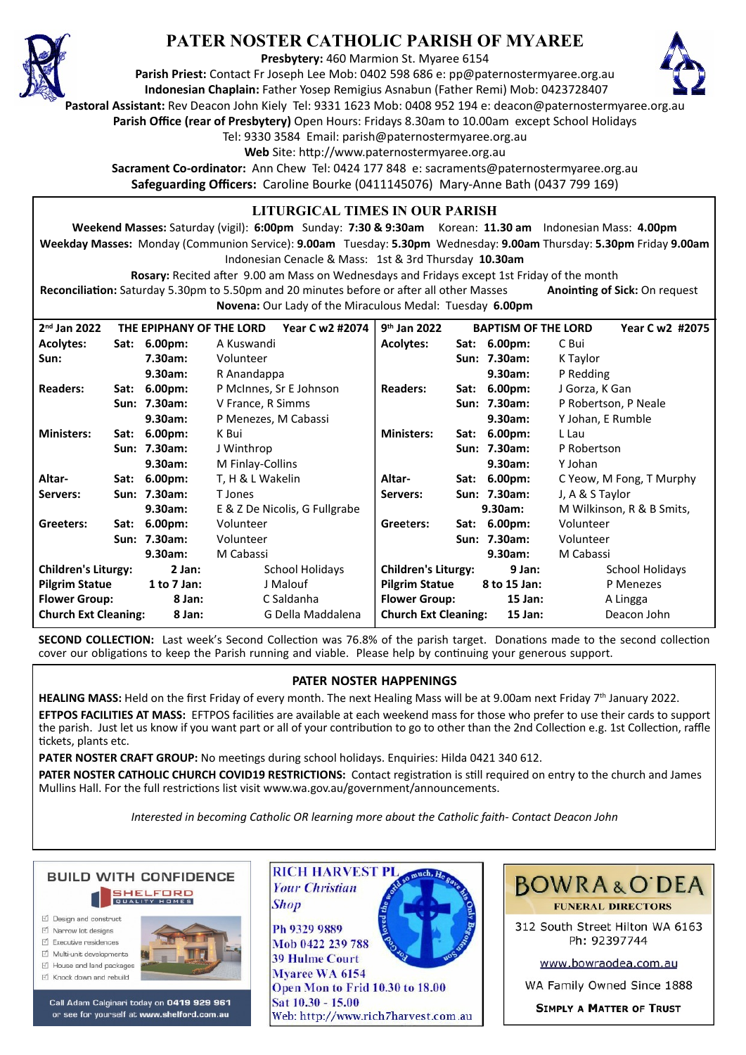

## **PATER NOSTER CATHOLIC PARISH OF MYAREE**

**Presbytery:** 460 Marmion St. Myaree 6154

**Parish Priest:** Contact Fr Joseph Lee Mob: 0402 598 686 e: pp@paternostermyaree.org.au **Indonesian Chaplain:** Father Yosep Remigius Asnabun (Father Remi) Mob: 0423728407



**Pastoral Assistant:** Rev Deacon John Kiely Tel: 9331 1623 Mob: 0408 952 194 e: deacon@paternostermyaree.org.au

**Parish Office (rear of Presbytery)** Open Hours: Fridays 8.30am to 10.00am except School Holidays

Tel: 9330 3584 Email: parish@paternostermyaree.org.au

Web Site: http://www.paternostermyaree.org.au

**Sacrament Co-ordinator:** Ann Chew Tel: 0424 177 848 e: sacraments@paternostermyaree.org.au **Safeguarding Officers:** Caroline Bourke (0411145076) Mary-Anne Bath (0437 799 169)

## **LITURGICAL TIMES IN OUR PARISH**

**Weekend Masses:** Saturday (vigil): **6:00pm** Sunday: **7:30 & 9:30am** Korean: **11.30 am** Indonesian Mass: **4.00pm Weekday Masses:** Monday (Communion Service): **9.00am** Tuesday: **5.30pm** Wednesday: **9.00am** Thursday: **5.30pm** Friday **9.00am** Indonesian Cenacle & Mass: 1st & 3rd Thursday **10.30am**

**Rosary:** Recited a�er 9.00 am Mass on Wednesdays and Fridays except 1st Friday of the month Reconciliation: Saturday 5.30pm to 5.50pm and 20 minutes before or after all other Masses **Anointing of Sick:** On request

**Novena:** Our Lady of the Miraculous Medal: Tuesday **6.00pm**

| $2nd$ Jan 2022                        |      | THE EPIPHANY OF THE LORD | Year C w2 #2074               | $9th$ Jan 2022              |      | <b>BAPTISM OF THE LORD</b> | Year C w2 #2075           |
|---------------------------------------|------|--------------------------|-------------------------------|-----------------------------|------|----------------------------|---------------------------|
| <b>Acolytes:</b>                      |      | Sat: 6.00pm:             | A Kuswandi                    | <b>Acolytes:</b>            |      | Sat: 6.00pm:               | C Bui                     |
| Sun:                                  |      | 7.30am:                  | Volunteer                     |                             |      | Sun: 7.30am:               | K Taylor                  |
|                                       |      | 9.30am:                  | R Anandappa                   |                             |      | 9.30am:                    | P Redding                 |
| <b>Readers:</b>                       | Sat: | 6.00 <sub>pm</sub>       | P McInnes, Sr E Johnson       | <b>Readers:</b>             | Sat: | 6.00 <sub>pm</sub>         | J Gorza, K Gan            |
|                                       |      | Sun: 7.30am:             | V France, R Simms             |                             |      | Sun: 7.30am:               | P Robertson, P Neale      |
|                                       |      | 9.30am:                  | P Menezes, M Cabassi          |                             |      | 9.30am:                    | Y Johan, E Rumble         |
| <b>Ministers:</b>                     |      | Sat: 6.00pm:             | K Bui                         | <b>Ministers:</b>           | Sat: | $6.00pm$ :                 | L Lau                     |
|                                       |      | Sun: 7.30am:             | J Winthrop                    |                             |      | Sun: 7.30am:               | P Robertson               |
|                                       |      | 9.30am:                  | M Finlay-Collins              |                             |      | 9.30am:                    | Y Johan                   |
| Altar-                                |      | Sat: 6.00pm:             | T, H & L Wakelin              | Altar-                      | Sat: | $6.00pm$ :                 | C Yeow, M Fong, T Murphy  |
| Servers:                              |      | Sun: 7.30am:             | T Jones                       | Servers:                    |      | Sun: 7.30am:               | J, A & S Taylor           |
|                                       |      | 9.30am:                  | E & Z De Nicolis, G Fullgrabe |                             |      | 9.30am:                    | M Wilkinson, R & B Smits, |
| Greeters:                             |      | Sat: 6.00pm:             | Volunteer                     | Greeters:                   |      | Sat: 6.00pm:               | Volunteer                 |
|                                       |      | Sun: 7.30am:             | Volunteer                     |                             |      | Sun: 7.30am:               | Volunteer                 |
|                                       |      | 9.30am:                  | M Cabassi                     |                             |      | 9.30am:                    | M Cabassi                 |
| <b>Children's Liturgy:</b>            |      | $2$ Jan:                 | <b>School Holidays</b>        | <b>Children's Liturgy:</b>  |      | 9 Jan:                     | <b>School Holidays</b>    |
| <b>Pilgrim Statue</b>                 |      | 1 to $7$ Jan:            | J Malouf                      | <b>Pilgrim Statue</b>       |      | 8 to 15 Jan:               | P Menezes                 |
| <b>Flower Group:</b>                  |      | 8 Jan:                   | C Saldanha                    | <b>Flower Group:</b>        |      | $15$ Jan:                  | A Lingga                  |
| <b>Church Ext Cleaning:</b><br>8 Jan: |      |                          | G Della Maddalena             | <b>Church Ext Cleaning:</b> |      | $15$ Jan:                  | Deacon John               |

**SECOND COLLECTION:** Last week's Second Collection was 76.8% of the parish target. Donations made to the second collection cover our obligations to keep the Parish running and viable. Please help by continuing your generous support.

## **PATER NOSTER HAPPENINGS**

HEALING MASS: Held on the first Friday of every month. The next Healing Mass will be at 9.00am next Friday 7<sup>th</sup> January 2022. **EFTPOS FACILITIES AT MASS:** EFTPOS facili�es are available at each weekend mass for those who prefer to use their cards to support the parish. Just let us know if you want part or all of your contribution to go to other than the 2nd Collection e.g. 1st Collection, raffle tickets, plants etc.

PATER NOSTER CRAFT GROUP: No meetings during school holidays. Enquiries: Hilda 0421 340 612.

PATER NOSTER CATHOLIC CHURCH COVID19 RESTRICTIONS: Contact registration is still required on entry to the church and James Mullins Hall. For the full restrictions list visit www.wa.gov.au/government/announcements.

*Interested in becoming Catholic OR learning more about the Catholic faith- Contact Deacon John*



- M Narrow Int designe
- $\triangledown$  Executive residences
- $\overrightarrow{2}$  Multi-unit developments M House and land packages
- ☑ Knock down and rebuild



Call Adam Calginari today on 0419 929 961 or see for yourself at www.shelford.com.au



Mob 0422 239 788 **39 Hulme Court** Myaree WA 6154 Open Mon to Frid 10.30 to 18.00 Sat 10.30 - 15.00 Web: http://www.rich7harvest.com.au



312 South Street Hilton WA 6163 Ph: 92397744

www.bowraodea.com.au

WA Family Owned Since 1888

**SIMPLY A MATTER OF TRUST**